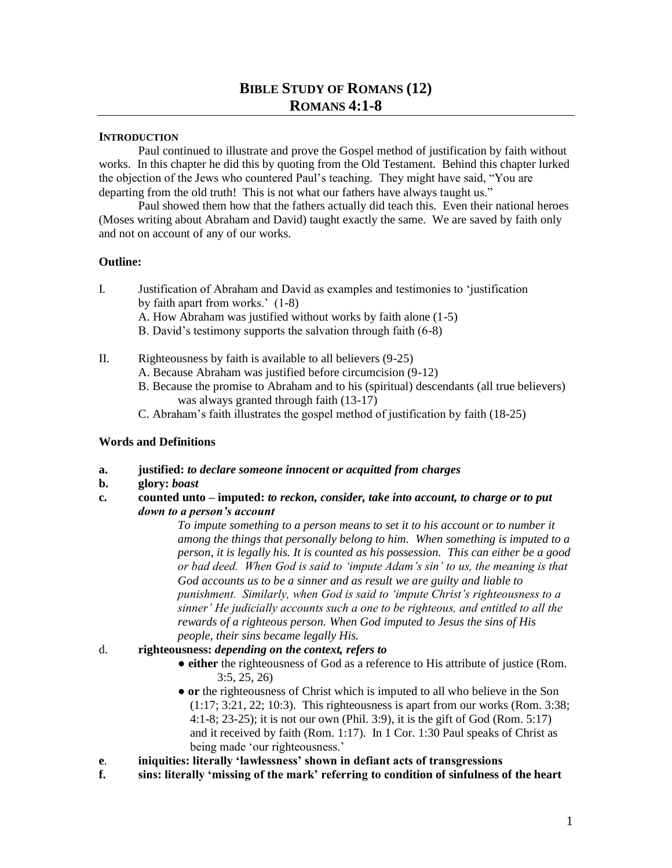# **BIBLE STUDY OF ROMANS (12) ROMANS 4:1-8**

### **INTRODUCTION**

Paul continued to illustrate and prove the Gospel method of justification by faith without works. In this chapter he did this by quoting from the Old Testament. Behind this chapter lurked the objection of the Jews who countered Paul's teaching. They might have said, "You are departing from the old truth! This is not what our fathers have always taught us."

Paul showed them how that the fathers actually did teach this. Even their national heroes (Moses writing about Abraham and David) taught exactly the same. We are saved by faith only and not on account of any of our works.

### **Outline:**

- I. Justification of Abraham and David as examples and testimonies to 'justification by faith apart from works.' (1-8) A. How Abraham was justified without works by faith alone (1-5)
	- B. David's testimony supports the salvation through faith (6-8)
- II. Righteousness by faith is available to all believers (9-25)
	- A. Because Abraham was justified before circumcision (9-12)
	- B. Because the promise to Abraham and to his (spiritual) descendants (all true believers) was always granted through faith (13-17)
	- C. Abraham's faith illustrates the gospel method of justification by faith (18-25)

## **Words and Definitions**

- **a. justified:** *to declare someone innocent or acquitted from charges*
- **b. glory:** *boast*
- **c. counted unto – imputed:** *to reckon, consider, take into account, to charge or to put down to a person's account*

*To impute something to a person means to set it to his account or to number it among the things that personally belong to him. When something is imputed to a person, it is legally his. It is counted as his possession. This can either be a good or bad deed. When God is said to 'impute Adam's sin' to us, the meaning is that God accounts us to be a sinner and as result we are guilty and liable to punishment. Similarly, when God is said to 'impute Christ's righteousness to a sinner' He judicially accounts such a one to be righteous, and entitled to all the rewards of a righteous person. When God imputed to Jesus the sins of His people, their sins became legally His.* 

## d. **righteousness:** *depending on the context, refers to*

- **either** the righteousness of God as a reference to His attribute of justice (Rom. 3:5, 25, 26)
- **or** the righteousness of Christ which is imputed to all who believe in the Son (1:17; 3:21, 22; 10:3). This righteousness is apart from our works (Rom. 3:38; 4:1-8; 23-25); it is not our own (Phil. 3:9), it is the gift of God (Rom. 5:17) and it received by faith (Rom. 1:17). In 1 Cor. 1:30 Paul speaks of Christ as being made 'our righteousness.'
- **e**. **iniquities: literally 'lawlessness' shown in defiant acts of transgressions**
- **f. sins: literally 'missing of the mark' referring to condition of sinfulness of the heart**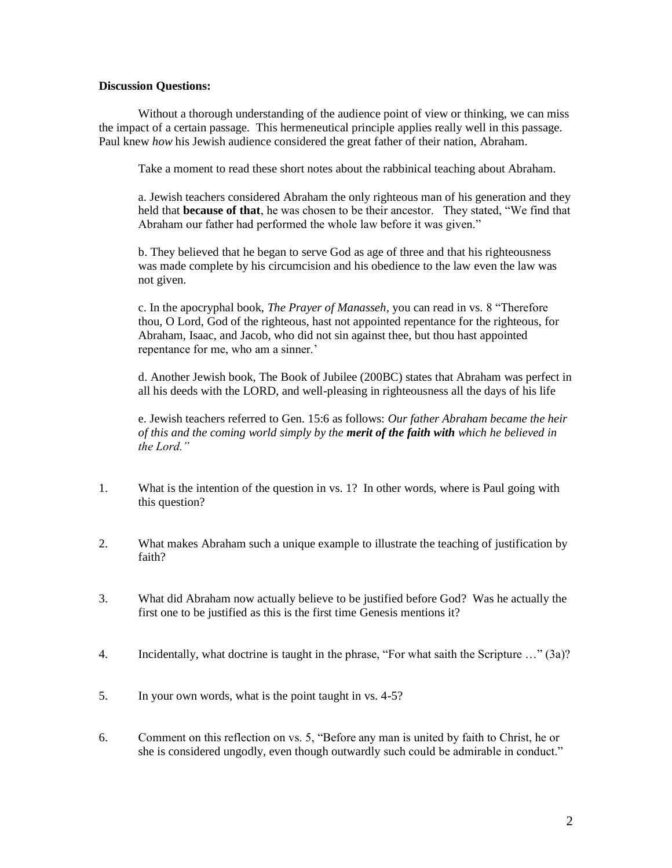### **Discussion Questions:**

Without a thorough understanding of the audience point of view or thinking, we can miss the impact of a certain passage. This hermeneutical principle applies really well in this passage. Paul knew *how* his Jewish audience considered the great father of their nation, Abraham.

Take a moment to read these short notes about the rabbinical teaching about Abraham.

a. Jewish teachers considered Abraham the only righteous man of his generation and they held that **because of that**, he was chosen to be their ancestor. They stated, "We find that Abraham our father had performed the whole law before it was given."

b. They believed that he began to serve God as age of three and that his righteousness was made complete by his circumcision and his obedience to the law even the law was not given.

c. In the apocryphal book, *The Prayer of Manasseh*, you can read in vs. 8 "Therefore thou, O Lord, God of the righteous, hast not appointed repentance for the righteous, for Abraham, Isaac, and Jacob, who did not sin against thee, but thou hast appointed repentance for me, who am a sinner.'

d. Another Jewish book, The Book of Jubilee (200BC) states that Abraham was perfect in all his deeds with the LORD, and well-pleasing in righteousness all the days of his life

e. Jewish teachers referred to Gen. 15:6 as follows: *Our father Abraham became the heir of this and the coming world simply by the merit of the faith with which he believed in the Lord."*

- 1. What is the intention of the question in vs. 1? In other words, where is Paul going with this question?
- 2. What makes Abraham such a unique example to illustrate the teaching of justification by faith?
- 3. What did Abraham now actually believe to be justified before God? Was he actually the first one to be justified as this is the first time Genesis mentions it?
- 4. Incidentally, what doctrine is taught in the phrase, "For what saith the Scripture …" (3a)?
- 5. In your own words, what is the point taught in vs. 4-5?
- 6. Comment on this reflection on vs. 5, "Before any man is united by faith to Christ, he or she is considered ungodly, even though outwardly such could be admirable in conduct."